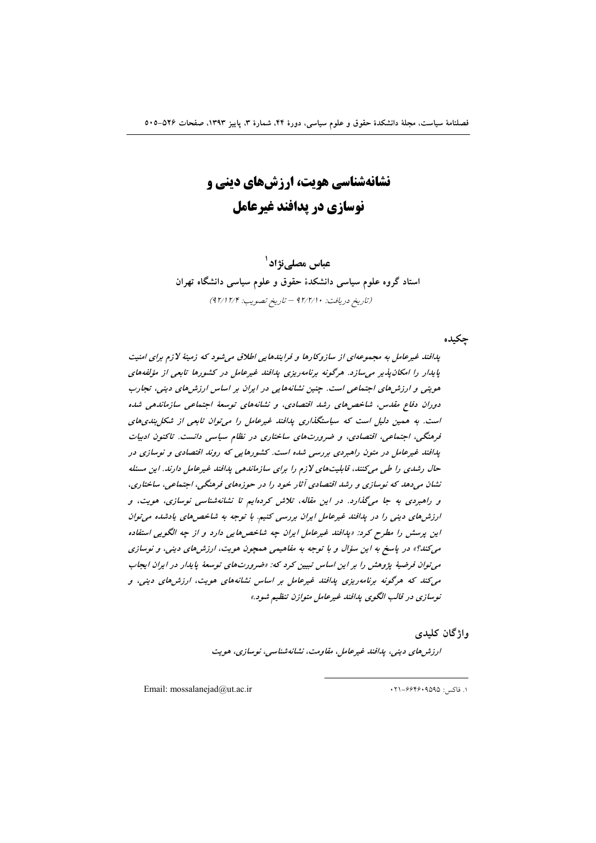# **نشانهشناسی هویت، ارزشهای دینی و** نوسازی در پدافند غیرعامل

عباس مصلي;نژاد<sup>1</sup> استاد گروه علوم سیاسی دانشکدهٔ حقوق و علوم سیاسی دانشگاه تهران (تاريخ دريافت: ٩٢/٢/١٠ - تاريخ تصويب: ٩٢/١٢/٢)

حكىدە

بدافند غیرعامل به مجموعهای از سازوکارها و فرایندهایی اطلاق می شود که زمینهٔ لازم برای امنیت پایدار را امکان پذیر می سازد. هرگونه برنامهریزی پدافند غیرعامل در کشورها تابعی از مؤلفههای هویتی و ارزش های اجتماعی است. چنین نشانههایی در ایران بر اساس ارزش های دینی، تجارب دوران دفاع مقدس، شاخص های رشد اقتصادی، و نشانههای توسعهٔ اجتماعی سازماندهی شده است. به همین دلیل است که سیاستگذاری پدافتد غیرعامل را می توان تابعی از شکل بندی های فرهنگی، اجتماعی، اقتصادی، و ضرورتهای ساختاری در نظام سیاسی دانست. تاکنون ادبیات پدافند غیرعامل در متون راهبردی بررسی شده است. کشورهایی که روند اقتصادی و نوسازی در حال رشدی را طی می کنند، قابلیتهای لازم را برای سازماندهی پدافند غیرعامل دارند. این مسئله نشان میدهد که نوسازی و رشد اقتصادی آثار خود را در حوزههای فرهنگی، اجتماعی، ساختاری، و راهبردی به جا میگذارد. در این مقاله، تلاش کردهایم تا نشانهشناسی نوسازی، هویت، و ارزش های دینی را در پدافند غیرعامل ایران بررسی کنیم. با توجه به شاخص های یادشده می توان این پرسش را مطرح کرد: «بدافند غیرعامل ایران چه شاخص هایی دارد و از چه الگویی استفاده می کند؟» در پاسخ به این سؤال و با توجه به مفاهیمی همچون هویت، ارزش های دینی، و نوسازی می توان فرضیهٔ پژوهش را بر این اساس تبیین کرد که: «ضرورتهای توسعهٔ پایدار در ایران ایجاب می کند که هرگونه برنامهریزی پدافند غیرعامل بر اساس نشانههای هویت، ارزش های دینی، و نوسازی در قالب الگوی پدافند غیرعامل متوازن تنظیم شود.»

واژگان کلیدی

ارزش های دینی، پدافند غیرعامل، مقاومت، نشانهشناسی، نوسازی، هویت

Email: mossalanejad@ut.ac.ir

١. فاكس: ٩٥٩٥٩-٢١١-٢١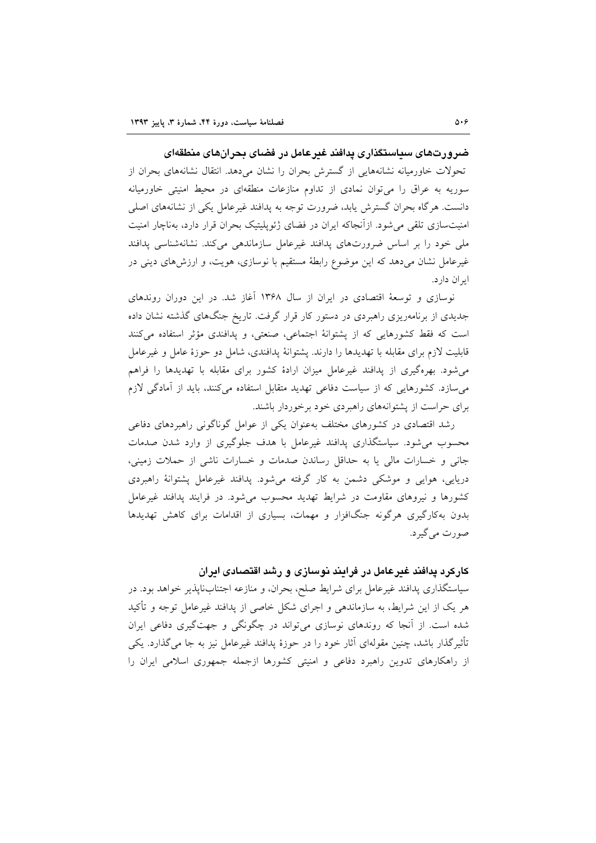ضرور تهای سیاستگذاری پدافند غیرعامل در فضای بحرانهای منطقهای تحولات خاورمیانه نشانههایی از گسترش بحران را نشان میدهد. انتقال نشانههای بحران از سوریه به عراق را میتوان نمادی از تداوم منازعات منطقهای در محیط امنیتی خاورمیانه دانست. هرگاه بحران گسترش یابد، ضرورت توجه به پدافند غیرعامل یکی از نشانههای اصلی امنیتسازی تلقی می شود. ازآنجاکه ایران در فضای ژئوپلیتیک بحران قرار دارد، بهناچار امنیت ملی خود را بر اساس ضرورتهای پدافند غیرعامل سازماندهی می کند. نشانهشناسی پدافند غیرعامل نشان می دهد که این موضوع رابطهٔ مستقیم با نوسازی، هویت، و ارزشهای دینی در ایران دارد.

نوسازی و توسعهٔ اقتصادی در ایران از سال ۱۳۶۸ آغاز شد. در این دوران روندهای جدیدی از برنامهریزی راهبردی در دستور کار قرار گرفت. تاریخ جنگهای گذشته نشان داده است که فقط کشورهایی که از پشتوانهٔ اجتماعی، صنعتی، و پدافندی مؤثر استفاده میکنند قابلیت لازم برای مقابله با تهدیدها را دارند. پشتوانهٔ پدافندی، شامل دو حوزهٔ عامل و غیرعامل می شود. بهرهگیری از پدافند غیرعامل میزان ارادهٔ کشور برای مقابله با تهدیدها را فراهم می سازد. کشورهایی که از سیاست دفاعی تهدید متقابل استفاده میکنند، باید از آمادگی لازم برای حراست از پشتوانههای راهبردی خود برخوردار باشند.

رشد اقتصادی در کشورهای مختلف بهعنوان یکی از عوامل گوناگونی راهبردهای دفاعی محسوب می شود. سیاستگذاری پدافند غیرعامل با هدف جلوگیری از وارد شدن صدمات جانی و خسارات مالی یا به حداقل رساندن صدمات و خسارات ناشی از حملات زمینی، دریایی، هوایی و موشکی دشمن به کار گرفته میشود. پدافند غیرعامل پشتوانهٔ راهبردی کشورها و نیروهای مقاومت در شرایط تهدید محسوب می شود. در فرایند پدافند غیرعامل بدون بهکارگیری هرگونه جنگافزار و مهمات، بسیاری از اقدامات برای کاهش تهدیدها صورت مي گير د.

# کارکرد یدافند غیرعامل در فرایند نوسازی و رشد اقتصادی ایران

سیاستگذاری پدافند غیرعامل برای شرایط صلح، بحران، و منازعه اجتنابناپذیر خواهد بود. در هر یک از این شرایط، به سازماندهی و اجرای شکل خاصی از یدافند غیرعامل توجه و تأکید شده است. از آنجا که روندهای نوسازی میتواند در چگونگی و جهتگیری دفاعی ایران تأثیرگذار باشد، چنین مقولهای آثار خود را در حوزهٔ پدافند غیرعامل نیز به جا میگذارد. یکی از راهکارهای تدوین راهبرد دفاعی و امنیتی کشورها ازجمله جمهوری اسلامی ایران را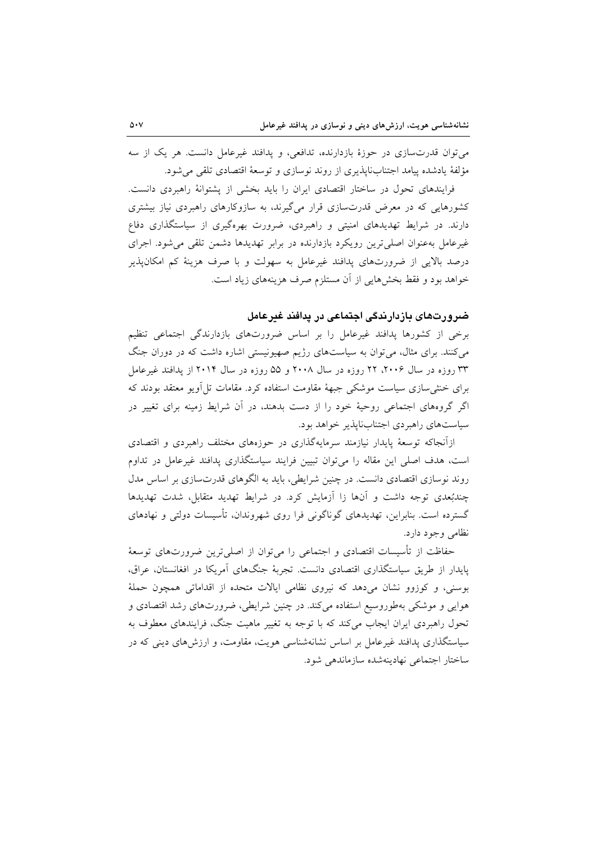می توان قدرتسازی در حوزهٔ بازدارنده، تدافعی، و پدافند غیرعامل دانست. هر یک از سه مؤلفهٔ یادشده پیامد اجتنابنایذیری از روند نوسازی و توسعهٔ اقتصادی تلقی می شود.

فرایندهای تحول در ساختار اقتصادی ایران را باید بخشی از پشتوانهٔ راهبردی دانست. کشورهایی که در معرض قدرتسازی قرار میگیرند، به سازوکارهای راهبردی نیاز بیشتری دارند. در شرایط تهدیدهای امنیتی و راهبردی، ضرورت بهرهگیری از سیاستگذاری دفاع غیرعامل بهعنوان اصلی ترین رویکرد بازدارنده در برابر تهدیدها دشمن تلقی می شود. اجرای درصد بالایی از ضرورتهای پدافند غیرعامل به سهولت و با صرف هزینهٔ کم امکانپذیر خواهد بود و فقط بخشهایی از آن مستلزم صرف هزینههای زیاد است.

# ضرورتهای بازدار ندگی اجتماعی در پدافند غیرعامل

برخی از کشورها پدافند غیرعامل را بر اساس ضرورتهای بازدارندگی اجتماعی تنظیم میکنند. برای مثال، میتوان به سیاستهای رژیم صهیونیستی اشاره داشت که در دوران جنگ ۳۳ روزه در سال ۲۰۰۶، ۲۲ روزه در سال ۲۰۰۸ و ۵۵ روزه در سال ۲۰۱۴ از یدافند غیرعامل برای خنثی سازی سیاست موشکی جبههٔ مقاومت استفاده کرد. مقامات تل|آویو معتقد بودند که اگر گروههای اجتماعی روحیهٔ خود را از دست بدهند، در آن شرایط زمینه برای تغییر در سیاستهای راهبر دی اجتنابنایذیر خواهد بود.

ازآنجاکه توسعهٔ پایدار نیازمند سرمایهگذاری در حوزههای مختلف راهبردی و اقتصادی است، هدف اصلی این مقاله را میتوان تبیین فرایند سیاستگذاری پدافند غیرعامل در تداوم روند نوسازی اقتصادی دانست. در چنین شرایطی، باید به الگوهای قدرتسازی بر اساس مدل چندبُعدی توجه داشت و آنها زا آزمایش کرد. در شرایط تهدید متقابل، شدت تهدیدها گسترده است. بنابراین، تهدیدهای گوناگونی فرا روی شهروندان، تأسیسات دولتی و نهادهای نظامي وجود دارد.

حفاظت از تأسیسات اقتصادی و اجتماعی را می¤وان از اصلیترین ضرورتهای توسعهٔ پایدار از طریق سیاستگذاری اقتصادی دانست. تجربهٔ جنگهای آمریکا در افغانستان، عراق، بوسنی، و کوزوو نشان میدهد که نیروی نظامی ایالات متحده از اقداماتی همچون حملهٔ هوایی و موشکی بهطوروسیع استفاده میکند. در چنین شرایطی، ضرورتهای رشد اقتصادی و تحول راهبردی ایران ایجاب میکند که با توجه به تغییر ماهیت جنگ، فرایندهای معطوف به سیاستگذاری پدافند غیرعامل بر اساس نشانهشناسی هویت، مقاومت، و ارزش های دینی که در ساختار اجتماعی نهادینهشده سازماندهی شود.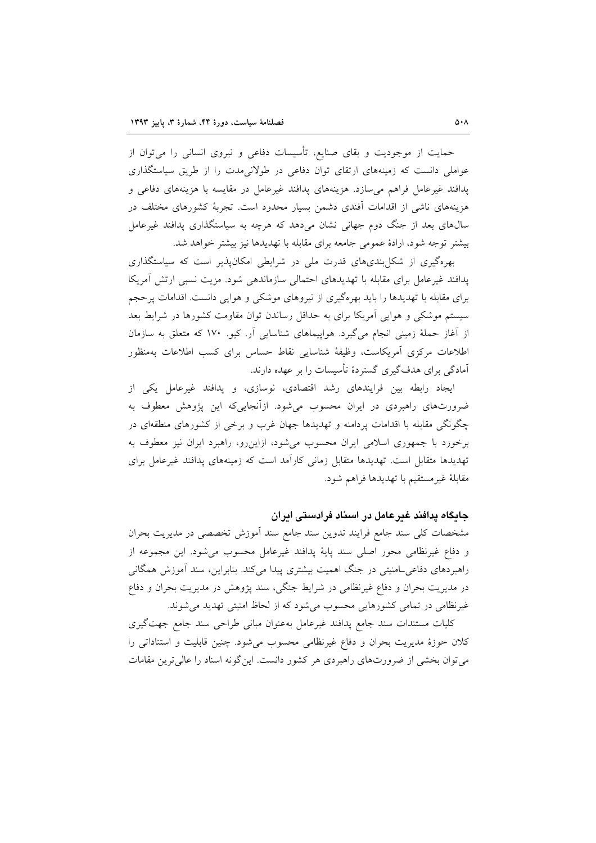حمایت از موجودیت و بقای صنایع، تأسیسات دفاعی و نیروی انسانی را میٍتوان از عواملی دانست که زمینههای ارتقای توان دفاعی در طولانی مدت را از طریق سیاستگذاری پدافند غیرعامل فراهم می سازد. هزینههای پدافند غیرعامل در مقایسه با هزینههای دفاعی و هزینههای ناشی از اقدامات آفندی دشمن بسیار محدود است. تجربهٔ کشورهای مختلف در سالهای بعد از جنگ دوم جهانی نشان میدهد که هرچه به سیاستگذاری پدافند غیرعامل بیشتر توجه شود، ارادهٔ عمومی جامعه برای مقابله با تهدیدها نیز بیشتر خواهد شد.

بهرهگیری از شکل بندیهای قدرت ملی در شرایطی امکانپذیر است که سیاستگذاری یدافند غیرعامل برای مقابله با تهدیدهای احتمالی سازماندهی شود. مزیت نسبی ارتش آمریکا برای مقابله با تهدیدها را باید بهرهگیری از نیروهای موشکی و هوایی دانست. اقدامات پرحجم سیستم موشکی و هوایی آمریکا برای به حداقل رساندن توان مقاومت کشورها در شرایط بعد از آغاز حملهٔ زمینی انجام میگیرد. هواپیماهای شناسایی آر. کیو. ۱۷۰ که متعلق به سازمان اطلاعات مركزى أمريكاست، وظيفة شناسايي نقاط حساس براى كسب اطلاعات بهمنظور آمادگی برای هدفگیری گستردهٔ تأسیسات را بر عهده دارند.

ایجاد رابطه بین فرایندهای رشد اقتصادی، نوسازی، و پدافند غیرعامل یکی از ضرورتهای راهبردی در ایران محسوب میشود. ازأنجاییکه این پژوهش معطوف به چگونگی مقابله با اقدامات پردامنه و تهدیدها جهان غرب و برخی از کشورهای منطقهای در برخورد با جمهوری اسلامی ایران محسوب می شود، ازاین رو، راهبرد ایران نیز معطوف به تهدیدها متقابل است. تهدیدها متقابل زمانی کارآمد است که زمینههای پدافند غیرعامل برای مقابلة غيرمستقيم با تهديدها فراهم شود.

## جايگاه پدافند غيرعامل در اسناد فرادستي ايران

مشخصات کلی سند جامع فرایند تدوین سند جامع سند آموزش تخصصی در مدیریت بحران و دفاع غيرنظامي محور اصلي سند پايهٔ پدافند غيرعامل محسوب مي شود. اين مجموعه از راهبردهای دفاعیِ امنیتی در جنگ اهمیت بیشتری پیدا میکند. بنابراین، سند آموزش همگانی در مدیریت بحران و دفاع غیرنظامی در شرایط جنگی، سند پژوهش در مدیریت بحران و دفاع غیرنظامی در تمامی کشورهایی محسوب میشود که از لحاظ امنیتی تهدید می شوند.

كليات مستندات سند جامع پدافند غيرعامل بهعنوان مبانى طراحى سند جامع جهت گيرى كلان حوزهٔ مديريت بحران و دفاع غيرنظامي محسوب مي شود. چنين قابليت و استناداتي را می توان بخشی از ضرورتهای راهبردی هر کشور دانست. این گونه اسناد را عالی ترین مقامات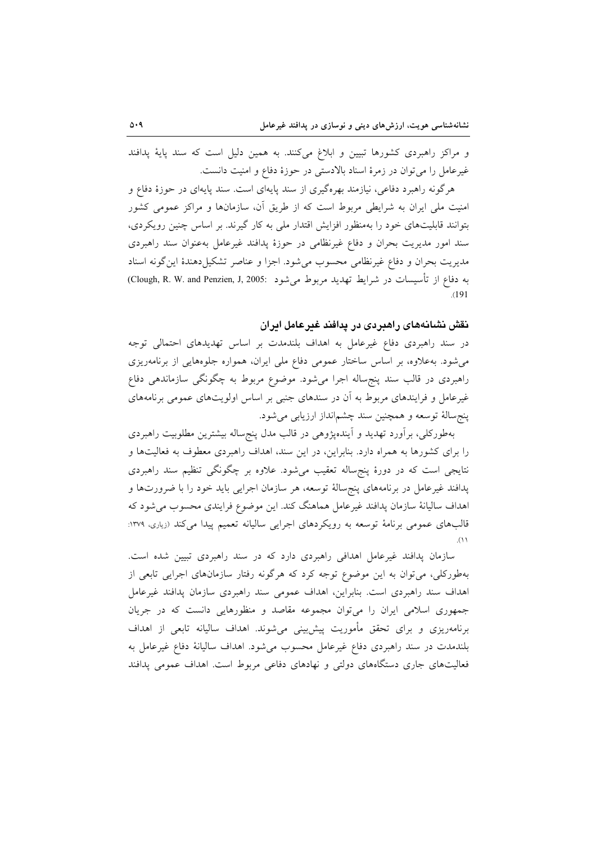و مراکز راهبردی کشورها تبیین و ابلاغ میکنند. به همین دلیل است که سند پایهٔ پدافند غیرعامل را می توان در زمرهٔ اسناد بالادستی در حوزهٔ دفاع و امنیت دانست.

هرگونه راهبرد دفاعی، نیازمند بهرهگیری از سند پایهای است. سند پایهای در حوزهٔ دفاع و امنیت ملی ایران به شرایطی مربوط است که از طریق آن، سازمانها و مراکز عمومی کشور بتوانند قابلیتهای خود را بهمنظور افزایش اقتدار ملی به کار گیرند. بر اساس چنین رویکردی، سند امور مدیریت بحران و دفاع غیرنظامی در حوزهٔ پدافند غیرعامل بهعنوان سند راهبردی مديريت بحران و دفاع غيرنظامي محسوب مي شود. اجزا و عناصر تشكيل دهندهٔ اين گونه اسناد به دفاع از تأسیسات در شرایط تهدید مربوط می شود :Clough, R. W. and Penzien, J, 2005)  $.191$ 

# نقش نشانههای راهبردی در پدافند غیرعامل ایران

در سند راهبردی دفاع غیرعامل به اهداف بلندمدت بر اساس تهدیدهای احتمالی توجه می شود. به علاوه، بر اساس ساختار عمومی دفاع ملی ایران، همواره جلوههایی از برنامهریزی راهبردی در قالب سند پنج ساله اجرا میشود. موضوع مربوط به چگونگی سازماندهی دفاع غیرعامل و فرایندهای مربوط به آن در سندهای جنبی بر اساس اولویتهای عمومی برنامههای پنج سالهٔ توسعه و همچنین سند چشم|نداز ارزیابی میشود.

بهطورکلی، برآورد تهدید و آیندهیژوهی در قالب مدل پنجساله بیشترین مطلوبیت راهبردی را برای کشورها به همراه دارد. بنابراین، در این سند، اهداف راهبردی معطوف به فعالیتها و نتایجی است که در دورهٔ پنجهساله تعقیب میشود. علاوه بر چگونگی تنظیم سند راهبردی پدافند غیرعامل در برنامههای پنجسالهٔ توسعه، هر سازمان اجرایی باید خود را با ضرورتها و اهداف سالیانهٔ سازمان پدافند غیرعامل هماهنگ کند. این موضوع فرایندی محسوب می شود که قالبهای عمومی برنامهٔ توسعه به رویکردهای اجرایی سالیانه تعمیم پیدا میکند (زیاری، ۱۳۷۹:  $(1)$ 

سازمان پدافند غیرعامل اهدافی راهبردی دارد که در سند راهبردی تبیین شده است. بهطورکلی، می توان به این موضوع توجه کرد که هرگونه رفتار سازمانهای اجرایی تابعی از اهداف سند راهبردی است. بنابراین، اهداف عمومی سند راهبردی سازمان پدافند غیرعامل جمهوری اسلامی ایران را میتوان مجموعه مقاصد و منظورهایی دانست که در جریان برنامهریزی و برای تحقق مأموریت پیش بینی میشوند. اهداف سالیانه تابعی از اهداف بلندمدت در سند راهبردی دفاع غیرعامل محسوب میشود. اهداف سالیانهٔ دفاع غیرعامل به فعالیتهای جاری دستگاههای دولتی و نهادهای دفاعی مربوط است. اهداف عمومی پدافند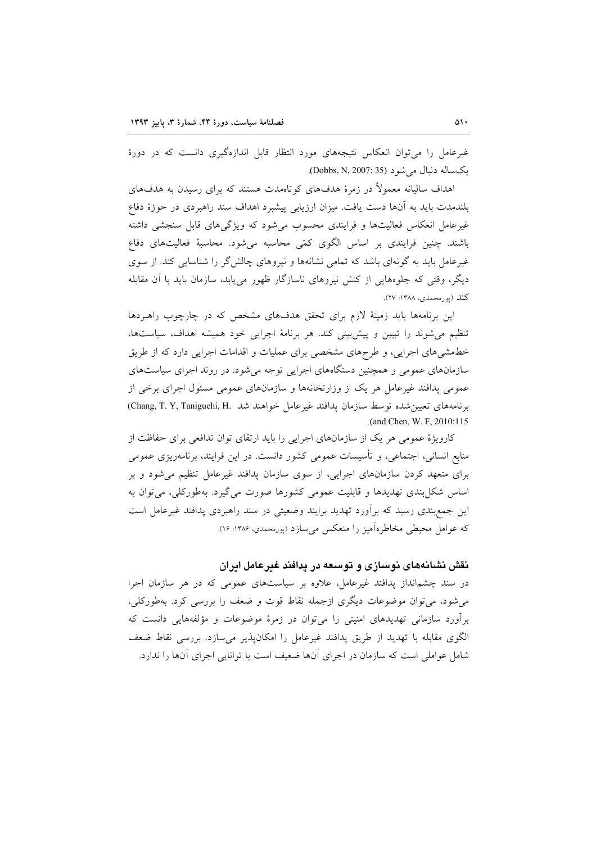غیرعامل را می توان انعکاس نتیجههای مورد انتظار قابل اندازهگیری دانست که در دورهٔ بک ساله دنبال می شود (Dobbs, N, 2007: 35).

اهداف سالیانه معمولاً در زمرهٔ هدفهای کوتاهمدت هستند که برای رسیدن به هدفهای بلندمدت باید به آنها دست یافت. میزان ارزیابی پیشبرد اهداف سند راهبردی در حوزهٔ دفاع غیرعامل انعکاس فعالیتها و فرایندی محسوب می شود که ویژگیهای قابل سنجشی داشته باشند. چنین فرایندی بر اساس الگوی کمّی محاسبه میشود. محاسبهٔ فعالیتهای دفاع غیرعامل باید به گونهای باشد که تمامی نشانهها و نیروهای چالش گر را شناسایی کند. از سوی دیگر، وقتی که جلوههایی از کنش نیروهای ناسازگار ظهور می یابد، سازمان باید با آن مقابله کنل (یورمحمدی، ۱۳۸۸: ۲۷).

این برنامهها باید زمینهٔ لازم برای تحقق هدفهای مشخص که در چارچوب راهبردها تنظیم می شوند را تبیین و پیش بینی کند. هر برنامهٔ اجرایی خود همیشه اهداف، سیاستها، خطمشیهای اجرایی، و طرحهای مشخصی برای عملیات و اقدامات اجرایی دارد که از طریق سازمانهای عمومی و همچنین دستگاههای اجرایی توجه میشود. در روند اجرای سیاستهای عمومی پدافند غیرعامل هر یک از وزارتخانهها و سازمانهای عمومی مسئول اجرای برخی از برنامههای تعیین شده توسط سازمان پدافند غیرعامل خواهند شد .Chang, T. Y, Taniguchi, H .(and Chen, W. F, 2010:115

کارویژهٔ عمومی هر یک از سازمانهای اجرایی را باید ارتقای توان تدافعی برای حفاظت از منابع انسانی، اجتماعی، و تأسیسات عمومی کشور دانست. در این فرایند، برنامهریزی عمومی برای متعهد کردن سازمانهای اجرایی، از سوی سازمان پدافند غیرعامل تنظیم می شود و بر اساس شکل بندی تهدیدها و قابلیت عمومی کشورها صورت می گیرد. بهطورکلی، می توان به این جمعبندی رسید که برأورد تهدید برایند وضعیتی در سند راهبردی پدافند غیرعامل است که عوامل محیطی مخاطرهآمیز را منعکس می سازد (پورمحمدی، ۱۳۸۶: ۱۶).

### نقش نشانههای نوسازی و توسعه در یدافند غیرعامل ایران

در سند چشمانداز پدافند غیرعامل، علاوه بر سیاستهای عمومی که در هر سازمان اجرا می شود، می توان موضوعات دیگری ازجمله نقاط قوت و ضعف را بررسی کرد. بهطورکلی، برآورد سازمانی تهدیدهای امنیتی را می توان در زمرهٔ موضوعات و مؤلفههایی دانست که الگوی مقابله با تهدید از طریق پدافند غیرعامل را امکان،پذیر می سازد. بررسی نقاط ضعف شامل عواملی است که سازمان در اجرای آنها ضعیف است یا توانایی اجرای آنها را ندارد.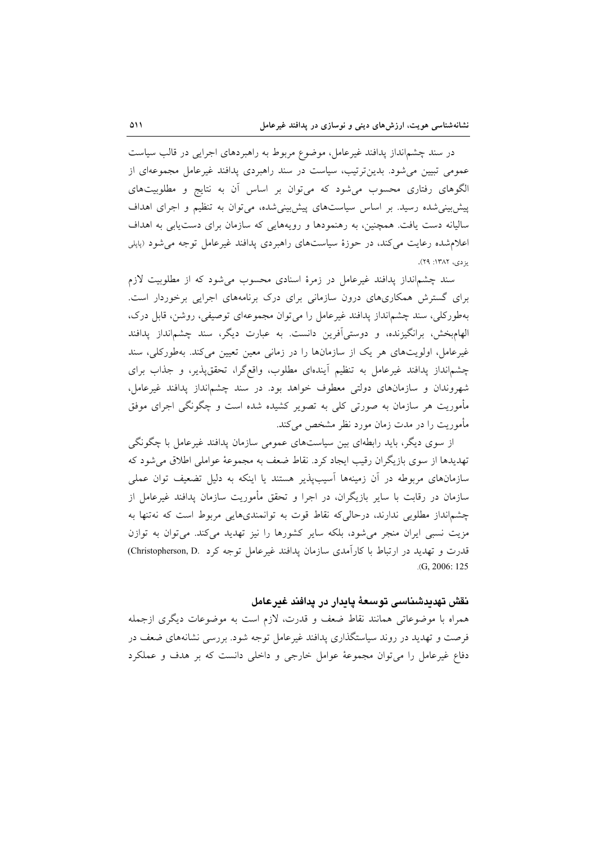در سند چشمانداز پدافند غیرعامل، موضوع مربوط به راهبردهای اجرایی در قالب سیاست عمومی تبیین می شود. بدین ترتیب، سیاست در سند راهبردی پدافند غیرعامل مجموعهای از الگوهای رفتاری محسوب میشود که میتوان بر اساس أن به نتایج و مطلوبیتهای پیش بینی شده رسید. بر اساس سیاستهای پیش بینی شده، می توان به تنظیم و اجرای اهداف سالیانه دست یافت. همچنین، به رهنمودها و رویههایی که سازمان برای دست یابی به اهداف اعلام شده رعایت می کند، در حوزهٔ سیاستهای راهبردی پدافند غیرعامل توجه می شود (بابلی یز دی، ۱۳۸۲: ۲۹).

سند چشم|نداز پدافند غیرعامل در زمرهٔ اسنادی محسوب میشود که از مطلوبیت لازم برای گسترش همکاریهای درون سازمانی برای درک برنامههای اجرایی برخوردار است. بهطوركلي، سند چشمانداز پدافند غيرعامل را مي توان مجموعهاي توصيفي، روشن، قابل درک، الهام بخش، برانگیزنده، و دوستی آفرین دانست. به عبارت دیگر، سند چشمانداز پدافند غیرعامل، اولویتهای هر یک از سازمانها را در زمانی معین تعیین میکند. بهطورکلی، سند چشمانداز پدافند غیرعامل به تنظیم آیندهای مطلوب، واقع گرا، تحققپذیر، و جذاب برای شهروندان و سازمانهای دولتی معطوف خواهد بود. در سند چشمانداز پدافند غیرعامل، مأموریت هر سازمان به صورتی کلی به تصویر کشیده شده است و چگونگی اجرای موفق مأموريت را در مدت زمان مورد نظر مشخص مى كند.

از سوی دیگر، باید رابطهای بین سیاستهای عمومی سازمان پدافند غیرعامل با چگونگی تهدیدها از سوی بازیگران رقیب ایجاد کرد. نقاط ضعف به مجموعهٔ عواملی اطلاق می شود که سازمانهای مربوطه در آن زمینهها آسیبپذیر هستند یا اینکه به دلیل تضعیف توان عملی سازمان در رقابت با سایر بازیگران، در اجرا و تحقق مأموریت سازمان یدافند غیرعامل از چشمانداز مطلوبی ندارند، درحالی که نقاط قوت به توانمندیهایی مربوط است که نهتنها به مزیت نسبی ایران منجر می شود، بلکه سایر کشورها را نیز تهدید میکند. می توان به توازن قدرت و تهدید در ارتباط با کارآمدی سازمان پدافند غیرعامل توجه کرد .Christopherson, D  $(G, 2006: 125)$ 

#### نقش تهديدشناسي توسعهٔ يايدار در يدافند غيرعامل

همراه با موضوعاتی همانند نقاط ضعف و قدرت، لازم است به موضوعات دیگری ازجمله فرصت و تهدید در روند سیاستگذاری پدافند غیرعامل توجه شود. بررسی نشانههای ضعف در دفاع غیرعامل را می توان مجموعهٔ عوامل خارجی و داخلی دانست که بر هدف و عملکرد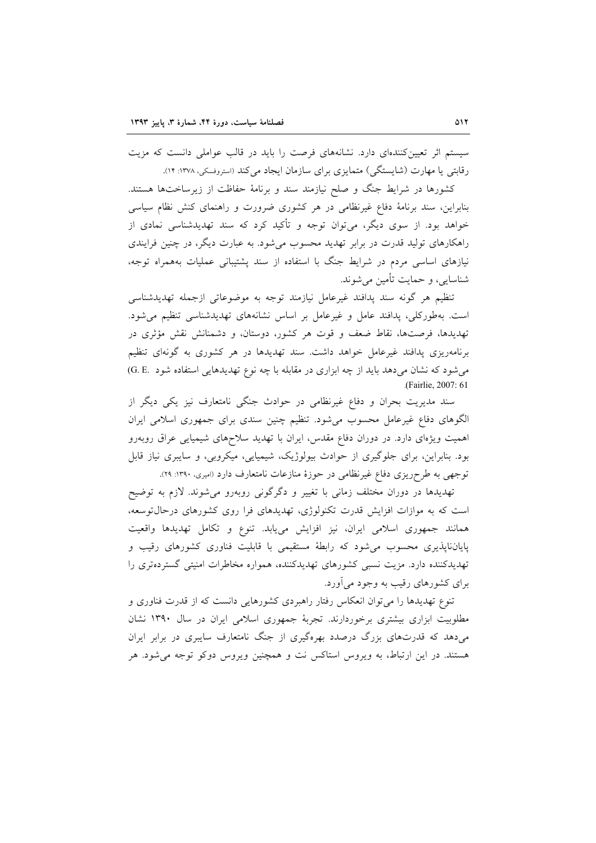سیستم اثر تعیین کنندهای دارد. نشانههای فرصت را باید در قالب عواملی دانست که مزیت رقابتی یا مهارت (شایستگی) متمایزی برای سازمان ایجاد می کند (استروفسکی، ۱۳۷۸: ۱۴).

کشورها در شرایط جنگ و صلح نیازمند سند و برنامهٔ حفاظت از زیرساختها هستند. بنابراین، سند برنامهٔ دفاع غیرنظامی در هر کشوری ضرورت و راهنمای کنش نظام سیاسی خواهد بود. از سوی دیگر، می توان توجه و تأکید کرد که سند تهدیدشناسی نمادی از راهکارهای تولید قدرت در برابر تهدید محسوب میشود. به عبارت دیگر، در چنین فرایندی نیازهای اساسی مردم در شرایط جنگ با استفاده از سند پشتیبانی عملیات بههمراه توجه، شناسایی، و حمایت تأمین می شوند.

تنظیم هر گونه سند پدافند غیرعامل نیازمند توجه به موضوعاتی ازجمله تهدیدشناسی است. بهطورکلی، پدافند عامل و غیرعامل بر اساس نشانههای تهدیدشناسی تنظیم می شود. تهدیدها، فرصتها، نقاط ضعف و قوت هر کشور، دوستان، و دشمنانش نقش مؤثری در برنامهریزی پدافند غیرعامل خواهد داشت. سند تهدیدها در هر کشوری به گونهای تنظیم می شود که نشان میدهد باید از چه ابزاری در مقابله با چه نوع تهدیدهایی استفاده شود G.E.) (Fairlie, 2007: 61

سند مدیریت بحران و دفاع غیرنظامی در حوادث جنگی نامتعارف نیز یکی دیگر از الگوهای دفاع غیرعامل محسوب میشود. تنظیم چنین سندی برای جمهوری اسلامی ایران اهمیت ویژهای دارد. در دوران دفاع مقدس، ایران با تهدید سلاحهای شیمیایی عراق روبهرو بود. بنابراین، برای جلوگیری از حوادث بیولوژیک، شیمیایی، میکروبی، و سایبری نیاز قابل توجهی به طرحریزی دفاع غیرنظامی در حوزهٔ منازعات نامتعارف دارد (امیری، ۱۳۹۰: ۲۹).

تهدیدها در دوران مختلف زمانی با تغییر و دگرگونی روبهرو میشوند. لازم به توضیح است که به موازات افزایش قدرت تکنولوژی، تهدیدهای فرا روی کشورهای درحال توسعه، همانند جمهوری اسلامی ایران، نیز افزایش مییابد. تنوع و تکامل تهدیدها واقعیت پایانناپذیری محسوب می شود که رابطهٔ مستقیمی با قابلیت فناوری کشورهای رقیب و تهدیدکننده دارد. مزیت نسبی کشورهای تهدیدکننده، همواره مخاطرات امنیتی گستردهتری را برای کشورهای رقیب به وجود می آورد.

تنوع تهدیدها را می توان انعکاس رفتار راهبردی کشورهایی دانست که از قدرت فناوری و مطلوبیت ابزاری بیشتری برخوردارند. تجربهٔ جمهوری اسلامی ایران در سال ۱۳۹۰ نشان میدهد که قدرتهای بزرگ درصدد بهرهگیری از جنگ نامتعارف سایبری در برابر ایران هستند. در این ارتباط، به ویروس استاکس نت و همچنین ویروس دوکو توجه می شود. هر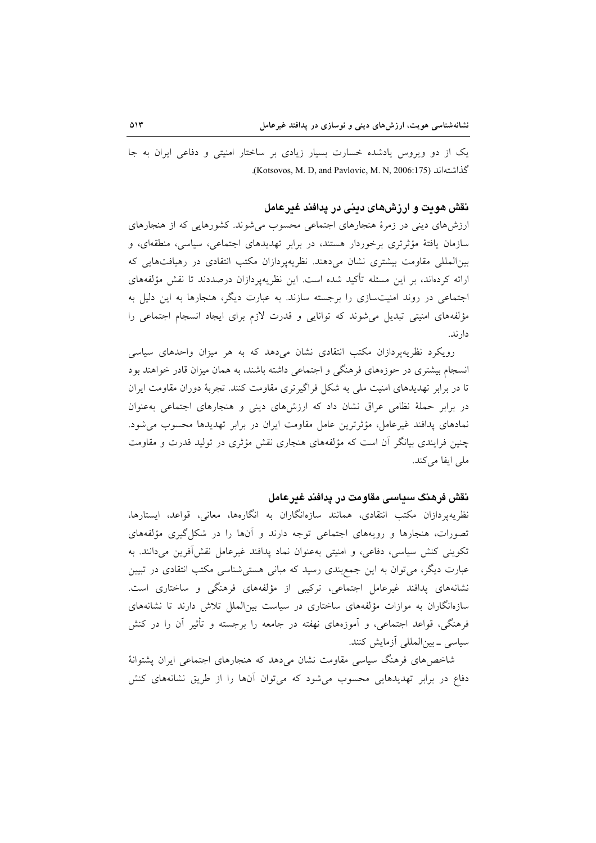یک از دو ویروس یادشده خسارت بسیار زیادی بر ساختار امنیتی و دفاعی ایران به جا .(Kotsovos, M. D, and Pavlovic, M. N, 2006:175).

## نقش هویت و ارزشهای دینی در پدافند غیرعامل

ارزش های دینی در زمرهٔ هنجارهای اجتماعی محسوب میشوند. کشورهایی که از هنجارهای سازمان یافتهٔ مؤثرتری برخوردار هستند، در برابر تهدیدهای اجتماعی، سیاسی، منطقهای، و بین المللی مقاومت بیشتری نشان میدهند. نظریهپردازان مکتب انتقادی در رهیافتهایی که ارائه کردهاند، بر این مسئله تأکید شده است. این نظریهپردازان درصددند تا نقش مؤلفههای اجتماعی در روند امنیتسازی را برجسته سازند. به عبارت دیگر، هنجارها به این دلیل به مؤلفههای امنیتی تبدیل می شوند که توانایی و قدرت لازم برای ایجاد انسجام اجتماعی را دار ند.

رویکرد نظریهپردازان مکتب انتقادی نشان میدهد که به هر میزان واحدهای سیاسی انسجام بیشتری در حوزههای فرهنگی و اجتماعی داشته باشند، به همان میزان قادر خواهند بود تا در برابر تهدیدهای امنیت ملی به شکل فراگیرتری مقاومت کنند. تجربهٔ دوران مقاومت ایران در برابر حملهٔ نظامی عراق نشان داد که ارزشهای دینی و هنجارهای اجتماعی بهعنوان نمادهای پدافند غیرعامل، مؤثرترین عامل مقاومت ایران در برابر تهدیدها محسوب می شود. چنین فرایندی بیانگر آن است که مؤلفههای هنجاری نقش مؤثری در تولید قدرت و مقاومت ملي ايفا مي كند.

# نقش فرهنگ سیاسی مقاومت در پدافند غیرعامل

نظریهپردازان مکتب انتقادی، همانند سازهانگاران به انگارهها، معانی، قواعد، ایستارها، تصورات، هنجارها و رویههای اجتماعی توجه دارند و آنها را در شکل گیری مؤلفههای تکوینی کنش سیاسی، دفاعی، و امنیتی بهعنوان نماد پدافند غیرعامل نقشآفرین میدانند. به عبارت دیگر، میتوان به این جمعبندی رسید که مبانی هستیشناسی مکتب انتقادی در تبیین نشانههای پدافند غیرعامل اجتماعی، ترکیبی از مؤلفههای فرهنگی و ساختاری است. سازهانگاران به موازات مؤلفههای ساختاری در سیاست بینالملل تلاش دارند تا نشانههای فرهنگی، قواعد اجتماعی، و آموزههای نهفته در جامعه را برجسته و تأثیر آن را در کنش سیاسی ۔بین|لمللی آزمایش کنند.

شاخصهای فرهنگ سیاسی مقاومت نشان می دهد که هنجارهای اجتماعی ایران پشتوانهٔ دفاع در برابر تهدیدهایی محسوب می شود که می توان آنها را از طریق نشانههای کنش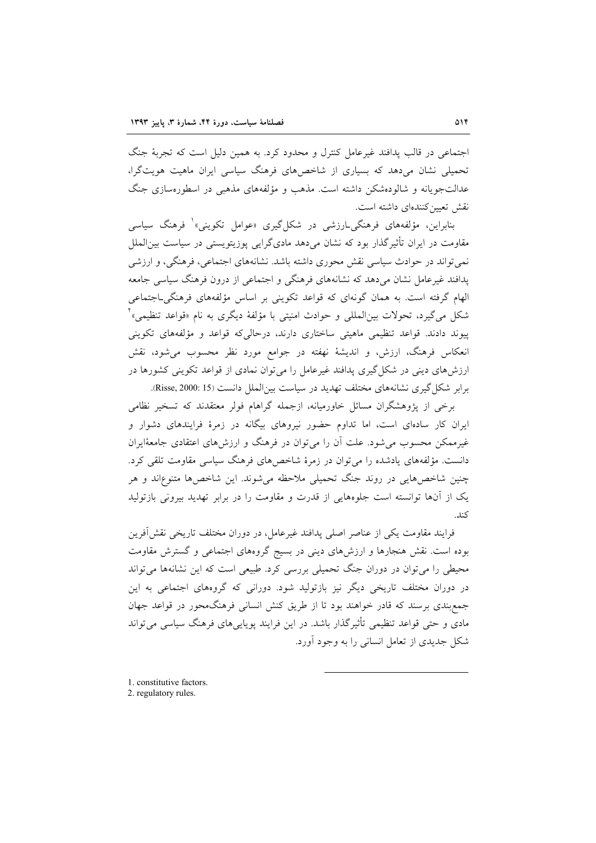اجتماعی در قالب پدافند غیرعامل کنترل و محدود کرد. به همین دلیل است که تجربهٔ جنگ تحمیلی نشان می دهد که بسیاری از شاخص های فرهنگ سیاسی ایران ماهیت هویتگرا، عدالتجویانه و شالودهشکن داشته است. مذهب و مؤلفههای مذهبی در اسطورهسازی جنگ نقش تعيين كنندهاي داشته است.

بنابراین، مؤلَّفههای فرهنگیLرزشی در شکلگیری «عوامل تکوینی»<sup>۱</sup> فرهنگ سیاسی مقاومت در ایران تأثیرگذار بود که نشان میدهد مادیگرایی پوزیتویستی در سیاست بین|لملل نمی تواند در حوادث سیاسی نقش محوری داشته باشد. نشانههای اجتماعی، فرهنگی، و ارزشی یدافند غیرعامل نشان می دهد که نشانههای فرهنگی و اجتماعی از درون فرهنگ سیاسی جامعه الهام گرفته است. به همان گونهای که قواعد تکوینی بر اساس مؤلفههای فرهنگیLجتماعی شکل میگیرد، تحولات بین|لمللی و حوادث امنیتی با مؤلفهٔ دیگری به نام «قواعد تنظیمی»<sup>۲</sup> پیوند دادند. قواعد تنظیمی ماهیتی ساختاری دارند، درحالی که قواعد و مؤلفههای تکوینی انعکاس فرهنگ، ارزش، و اندیشهٔ نهفته در جوامع مورد نظر محسوب میشود، نقش ارزشهای دینی در شکل گیری پدافند غیرعامل را میتوان نمادی از قواعد تکوینی کشورها در برابر شکل گیری نشانههای مختلف تهدید در سیاست بین الملل دانست (15 :Risse, 2000).

برخی از یژوهشگران مسائل خاورمیانه، ازجمله گراهام فولر معتقدند که تسخیر نظامی ایران کار سادهای است، اما تداوم حضور نیروهای بیگانه در زمرهٔ فرایندهای دشوار و غیرممکن محسوب می شود. علت آن را می توان در فرهنگ و ارزش های اعتقادی جامعهٔایران دانست. مؤلفههای یادشده را می توان در زمرهٔ شاخصهای فرهنگ سیاسی مقاومت تلقی کرد. چنین شاخصهایی در روند جنگ تحمیلی ملاحظه میشوند. این شاخصها متنوعاند و هر یک از آنها توانسته است جلوههایی از قدرت و مقاومت را در برابر تهدید بیرونی بازتولید كند.

فرایند مقاومت یکی از عناصر اصلی پدافند غیرعامل، در دوران مختلف تاریخی نقش آفرین بوده است. نقش هنجارها و ارزشهای دینی در بسیج گروههای اجتماعی و گسترش مقاومت محیطی را می توان در دوران جنگ تحمیلی بررسی کرد. طبیعی است که این نشانهها می تواند در دوران مختلف تاریخی دیگر نیز بازتولید شود. دورانی که گروههای اجتماعی به این جمع بندی برسند که قادر خواهند بود تا از طریق کنش انسانی فرهنگ محور در قواعد جهان مادی و حتی قواعد تنظیمی تأثیرگذار باشد. در این فرایند پوپاییهای فرهنگ سیاسی می تواند شکل جدیدی از تعامل انسانی را به وجود آورد.

1. constitutive factors. 2. regulatory rules.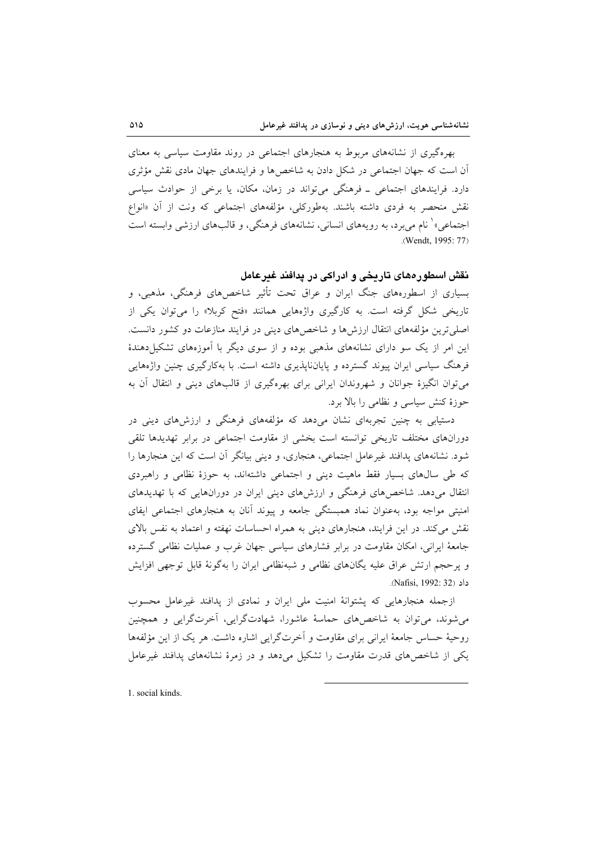بهره گیری از نشانههای مربوط به هنجارهای اجتماعی در روند مقاومت سیاسی به معنای آن است که جهان اجتماعی در شکل دادن به شاخص ها و فرایندهای جهان مادی نقش مؤثری دارد. فرایندهای اجتماعی ــ فرهنگی می تواند در زمان، مکان، یا برخی از حوادث سیاسی نقش منحصر به فردی داشته باشند. بهطورکلی، مؤلفههای اجتماعی که ونت از آن «انواع اجتماعي» ٰ نام مي برد، به رويههاي انساني، نشانههاي فرهنگي، و قالبهاي ارزشي وابسته است (Wendt, 1995: 77)

نقش اسطورههای تاریخی و ادراکی در یدافند غیرعامل

بسیاری از اسطورههای جنگ ایران و عراق تحت تأثیر شاخصهای فرهنگی، مذهبی، و تاریخی شکل گرفته است. به کارگیری واژههایی همانند «فتح کربلا» را می توان یکی از اصلی ترین مؤلفههای انتقال ارزشها و شاخصهای دینی در فرایند منازعات دو کشور دانست. این امر از یک سو دارای نشانههای مذهبی بوده و از سوی دیگر با آموزههای تشکیلدهندهٔ فرهنگ سیاسی ایران پیوند گسترده و پایانناپذیری داشته است. با بهکارگیری چنین واژههایی می توان انگیزهٔ جوانان و شهروندان ایرانی برای بهرهگیری از قالبهای دینی و انتقال آن به حوزهٔ کنش سیاسی و نظامی را بالا برد.

دستیابی به چنین تجربهای نشان میدهد که مؤلفههای فرهنگی و ارزشهای دینی در دورانهای مختلف تاریخی توانسته است بخشی از مقاومت اجتماعی در برابر تهدیدها تلقی شود. نشانههای پدافند غیرعامل اجتماعی، هنجاری، و دینی بیانگر آن است که این هنجارها را که طی سال های بسیار فقط ماهیت دینی و اجتماعی داشتهاند، به حوزهٔ نظامی و راهبردی انتقال میدهد. شاخصهای فرهنگی و ارزشهای دینی ایران در دورانهایی که با تهدیدهای امنیتی مواجه بود، بهعنوان نماد همبستگی جامعه و پیوند آنان به هنجارهای اجتماعی ایفای نقش می کند. در این فرایند، هنجارهای دینی به همراه احساسات نهفته و اعتماد به نفس بالای جامعهٔ ایرانی، امکان مقاومت در برابر فشارهای سیاسی جهان غرب و عملیات نظامی گسترده و پرحجم ارتش عراق علیه یگانهای نظامی و شبهنظامی ایران را بهگونهٔ قابل توجهی افزایش داد (Nafisi, 1992; 32).

ازجمله هنجارهایی که پشتوانهٔ امنیت ملی ایران و نمادی از پدافند غیرعامل محسوب می شوند، می توان به شاخصهای حماسهٔ عاشورا، شهادتگرایی، آخرتگرایی و همچنین روحيهٔ حساس جامعهٔ ايراني براي مقاومت و آخرتگرايي اشاره داشت. هر يک از اين مؤلفهها یکی از شاخص های قدرت مقاومت را تشکیل می دهد و در زمرهٔ نشانههای پدافند غیرعامل

1. social kinds.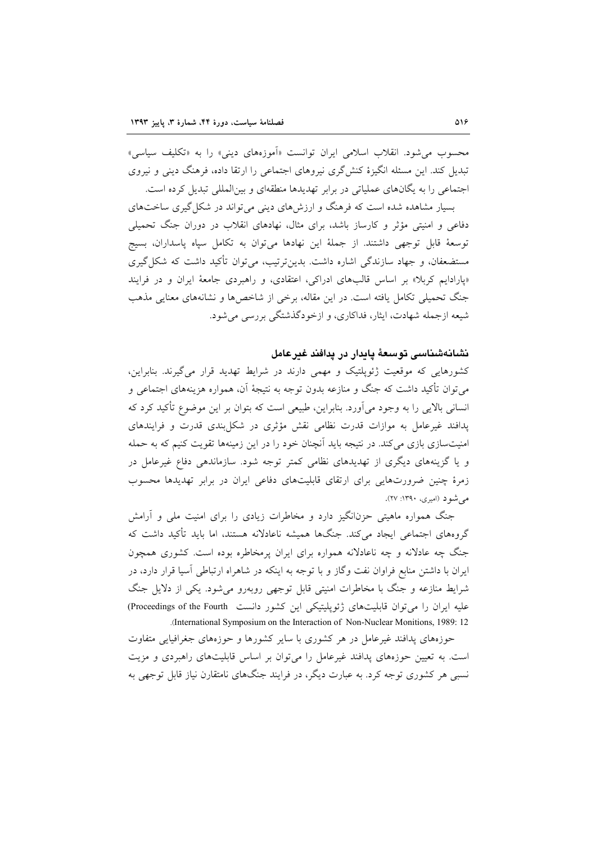محسوب می شود. انقلاب اسلامی ایران توانست «آموزههای دینی» را به «تکلیف سیاسی» تبدیل کند. این مسئله انگیزهٔ کنش گری نیروهای اجتماعی را ارتقا داده، فرهنگ دینی و نیروی اجتماعی را به یگانهای عملیاتی در برابر تهدیدها منطقهای و بینالمللی تبدیل کرده است.

بسیار مشاهده شده است که فرهنگ و ارزشهای دینی می تواند در شکل گیری ساختهای دفاعی و امنیتی مؤثر و کارساز باشد، برای مثال، نهادهای انقلاب در دوران جنگ تحمیلی توسعهٔ قابل توجهی داشتند. از جملهٔ این نهادها می توان به تکامل سپاه پاسداران، بسیج مستضعفان، و جهاد سازندگی اشاره داشت. بدین ترتیب، می توان تأکید داشت که شکل گیری «بارادایم کربلا» بر اساس قالبهای ادراکی، اعتقادی، و راهبردی جامعهٔ ایران و در فرایند جنگ تحمیلی تکامل یافته است. در این مقاله، برخی از شاخصها و نشانههای معنایی مذهب شیعه ازجمله شهادت، ایثار، فداکاری، و ازخودگذشتگی بررسی می شود.

#### نشانەشناسى توسعهٔ يايدار در يدافند غيرعامل

کشورهایی که موقعیت ژئوپلتیک و مهمی دارند در شرایط تهدید قرار می گیرند. بنابراین، می توان تأکید داشت که جنگ و منازعه بدون توجه به نتیجهٔ آن، همواره هزینههای اجتماعی و انسانی بالایی را به وجود میآورد. بنابراین، طبیعی است که بتوان بر این موضوع تأکید کرد که پدافند غیرعامل به موازات قدرت نظامی نقش مؤثری در شکل بندی قدرت و فرایندهای امنیتسازی بازی میکند. در نتیجه باید آنچنان خود را در این زمینهها تقویت کنیم که به حمله و یا گزینههای دیگری از تهدیدهای نظامی کمتر توجه شود. سازماندهی دفاع غیرعامل در زمرهٔ چنین ضرورتهایی برای ارتقای قابلیتهای دفاعی ایران در برابر تهدیدها محسوب می شو د (امیری، ۱۳۹۰: ۲۷).

جنگ همواره ماهیتی حزنانگیز دارد و مخاطرات زیادی را برای امنیت ملی و أرامش گروههای اجتماعی ایجاد میکند. جنگها همیشه ناعادلانه هستند، اما باید تأکید داشت که جنگ چه عادلانه و چه ناعادلانه همواره برای ایران پرمخاطره بوده است. کشوری همچون ایران با داشتن منابع فراوان نفت وگاز و با توجه به اینکه در شاهراه ارتباطی آسیا قرار دارد، در شرایط منازعه و جنگ با مخاطرات امنیتی قابل توجهی روبهرو می شود. یکی از دلایل جنگ علیه ایران را می توان قابلیتهای ژئوپلیتیکی این کشور دانست Proceedings of the Fourth) (International Symposium on the Interaction of Non-Nuclear Monitions, 1989: 12

حوزههای پدافند غیرعامل در هر کشوری با سایر کشورها و حوزههای جغرافیایی متفاوت است. به تعیین حوزههای پدافند غیرعامل را میتوان بر اساس قابلیتهای راهبردی و مزیت نسبی هر کشوری توجه کرد. به عبارت دیگر، در فرایند جنگهای نامتقارن نیاز قابل توجهی به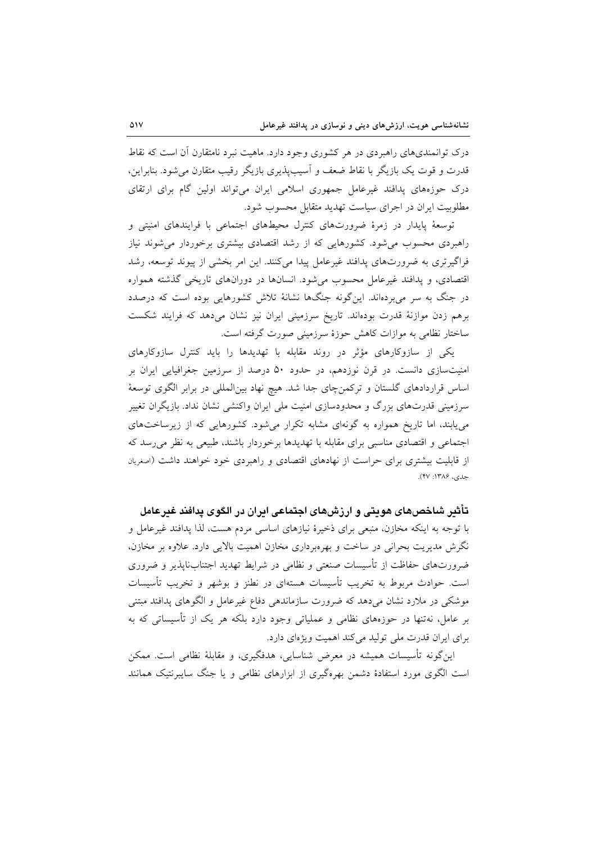درک توانمندیهای راهبردی در هر کشوری وجود دارد. ماهیت نبرد نامتقارن آن است که نقاط قدرت و قوت یک بازیگر با نقاط ضعف و آسیب پذیری بازیگر رقیب متقارن می شود. بنابراین، درک حوزههای پدافند غیرعامل جمهوری اسلامی ایران میتواند اولین گام برای ارتقای مطلوبیت ایران در اجرای سیاست تهدید متقابل محسوب شود.

توسعهٔ پایدار در زمرهٔ ضرورتهای کنترل محیطهای اجتماعی با فرایندهای امنیتی و راهبردی محسوب میشود. کشورهایی که از رشد اقتصادی بیشتری برخوردار می شوند نیاز فراگیرتری به ضرورتهای پدافند غیرعامل پیدا میکنند. این امر بخشی از پیوند توسعه، رشد اقتصادی، و پدافند غیرعامل محسوب می شود. انسانها در دورانهای تاریخی گذشته همواره در جنگ به سر میبردهاند. اینگونه جنگها نشانهٔ تلاش کشورهایی بوده است که درصدد برهم زدن موازنهٔ قدرت بودهاند. تاریخ سرزمینی ایران نیز نشان میدهد که فرایند شکست ساختار نظامی به موازات کاهش حوزهٔ سرزمینی صورت گرفته است.

یکی از سازوکارهای مؤثر در روند مقابله با تهدیدها را باید کنترل سازوکارهای امنیتسازی دانست. در قرن نوزدهم، در حدود ۵۰ درصد از سرزمین جغرافیایی ایران بر اساس قراردادهای گلستان و ترکمنچای جدا شد. هیچ نهاد بینالمللی در برابر الگوی توسعهٔ سرزمینی قدرتهای بزرگ و محدودسازی امنیت ملی ایران واکنشی نشان نداد. بازیگران تغییر می یابند، اما تاریخ همواره به گونهای مشابه تکرار میشود. کشورهایی که از زیرساختهای اجتماعی و اقتصادی مناسبی برای مقابله با تهدیدها برخوردار باشند، طبیعی به نظر می رسد که از قابلیت بیشتری برای حراست از نهادهای اقتصادی و راهبردی خود خواهند داشت (اصغربان جدي، ۱۳۸۶: ۴۷).

تأثیر شاخصهای هویتی و ارزشهای اجتماعی ایران در الگوی پدافند غیرعامل با توجه به اینکه مخازن، منبعی برای ذخیرهٔ نیازهای اساسی مردم هست، لذا پدافند غیرعامل و نگرش مدیریت بحرانی در ساخت و بهرهبرداری مخازن اهمیت بالایی دارد. علاوه بر مخازن، ضرورتهای حفاظت از تأسیسات صنعتی و نظامی در شرایط تهدید اجتنابنایذیر و ضروری است. حوادث مربوط به تخریب تأسیسات هستهای در نطنز و بوشهر و تخریب تأسیسات موشکی در ملارد نشان میدهد که ضرورت سازماندهی دفاع غیرعامل و الگوهای پدافند مبتنی بر عامل، نهتنها در حوزههای نظامی و عملیاتی وجود دارد بلکه هر یک از تأسیساتی که به برای ایران قدرت ملی تولید می کند اهمیت ویژمای دارد.

این گونه تأسیسات همیشه در معرض شناسایی، هدفگیری، و مقابلهٔ نظامی است. ممکن است الگوی مورد استفادهٔ دشمن بهرهگیری از ابزارهای نظامی و یا جنگ سایبرنتیک همانند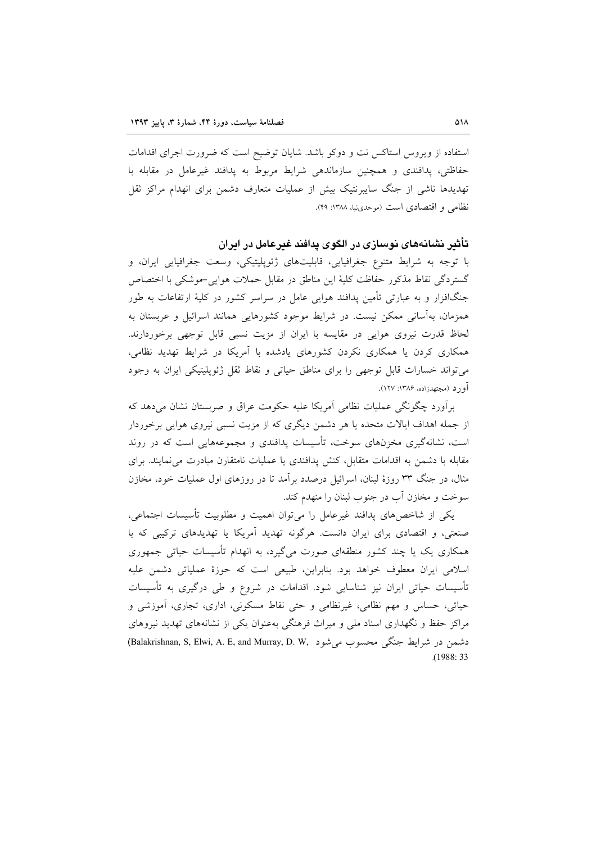استفاده از ویروس استاکس نت و دوکو باشد. شایان توضیح است که ضرورت اجرای اقدامات حفاظتی، پدافندی و همچنین سازماندهی شرایط مربوط به پدافند غیرعامل در مقابله با تهدیدها ناشی از جنگ سایبرنتیک بیش از عملیات متعارف دشمن برای انهدام مراکز ثقل نظامی و اقتصادی است (موحدینیا، ۱۳۸۸: ۴۹).

تأثیر نشانههای نوسازی در الگوی پدافند غیرعامل در ایران

با توجه به شرايط متنوع جغرافيايي، قابليتهاي ژئوپليتيكي، وسعت جغرافيايي ايران، و گستردگی نقاط مذکور حفاظت کلیهٔ این مناطق در مقابل حملات هوایی-موشکی با اختصاص جنگافزار و به عبارتی تأمین پدافند هوایی عامل در سراسر کشور در کلیهٔ ارتفاعات به طور همزمان، بهآسانی ممکن نیست. در شرایط موجود کشورهایی همانند اسرائیل و عربستان به لحاظ قدرت نیروی هوایی در مقایسه با ایران از مزیت نسبی قابل توجهی برخوردارند. همکاری کردن یا همکاری نکردن کشورهای یادشده با آمریکا در شرایط تهدید نظامی، می تواند خسارات قابل توجهی را برای مناطق حیاتی و نقاط ثقل ژئوپلیتیکی ایران به وجود آورد (مجتهدزاده، ۱۳۸۶: ۱۲۷).

برآورد چگونگی عملیات نظامی آمریکا علیه حکومت عراق و صربستان نشان می دهد که از جمله اهداف ایالات متحده یا هر دشمن دیگری که از مزیت نسبی نیروی هوایی برخوردار است، نشانهگیری مخزنهای سوخت، تأسیسات پدافندی و مجموعههایی است که در روند مقابله با دشمن به اقدامات متقابل، كنش پدافندى يا عمليات نامتقارن مبادرت مى نمايند. براى مثال، در جنگ ۳۳ روزهٔ لبنان، اسرائیل درصدد بر آمد تا در روزهای اول عملیات خود، مخازن سوخت و مخازن آب در جنوب لبنان را منهدم کند.

یکی از شاخصهای پدافند غیرعامل را می توان اهمیت و مطلوبیت تأسیسات اجتماعی، صنعتی، و اقتصادی برای ایران دانست. هرگونه تهدید آمریکا یا تهدیدهای ترکیبی که با همکاری یک یا چند کشور منطقهای صورت میگیرد، به انهدام تأسیسات حیاتی جمهوری اسلامی ایران معطوف خواهد بود. بنابراین، طبیعی است که حوزهٔ عملیاتی دشمن علیه تأسیسات حیاتی ایران نیز شناسایی شود. اقدامات در شروع و طی درگیری به تأسیسات حیاتی، حساس و مهم نظامی، غیرنظامی و حتی نقاط مسکونی، اداری، تجاری، آموزشی و مراکز حفظ و نگهداری اسناد ملی و میراث فرهنگی بهعنوان یکی از نشانههای تهدید نیروهای دشمن در شرايط جنگي محسوب مي شود ,Balakrishnan, S, Elwi, A. E, and Murray, D. W)  $.1988:33$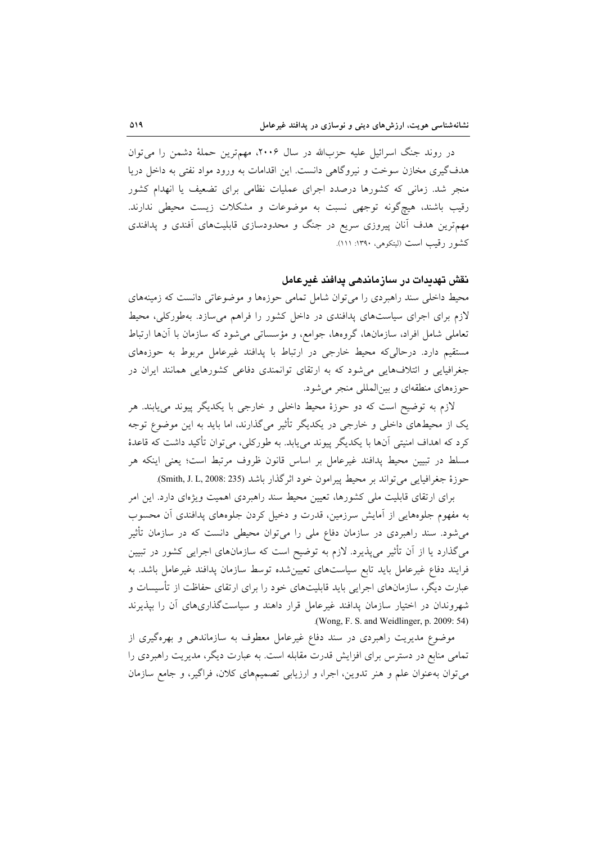در روند جنگ اسرائیل علیه حزبالله در سال ۲۰۰۶، مهمترین حملهٔ دشمن را می توان هدفگیری مخازن سوخت و نیروگاهی دانست. این اقدامات به ورود مواد نفتی به داخل دریا منجر شد. زمانی که کشورها درصدد اجرای عملیات نظامی برای تضعیف یا انهدام کشور رقیب باشند، هیچگونه توجهی نسبت به موضوعات و مشکلات زیست محیطی ندارند. مهمترین هدف آنان پیروزی سریع در جنگ و محدودسازی قابلیتهای أفندی و پدافندی کشور رقیب است (لیتکوهی، ۱۳۹۰: ۱۱۱).

# نقش تهدىدات در سازماندهى يدافند غىرعامل

محیط داخلی سند راهبردی را می توان شامل تمامی حوزهها و موضوعاتی دانست که زمینههای لازم برای اجرای سیاستهای پدافندی در داخل کشور را فراهم میسازد. بهطورکلی، محیط تعاملی شامل افراد، سازمانها، گروهها، جوامع، و مؤسساتی میشود که سازمان با آنها ارتباط مستقیم دارد. درحالیکه محیط خارجی در ارتباط با پدافند غیرعامل مربوط به حوزههای جغرافیایی و ائتلافهایی می شود که به ارتقای توانمندی دفاعی کشورهایی همانند ایران در حوزههای منطقهای و بین المللی منجر می شود.

لازم به توضیح است که دو حوزهٔ محیط داخلی و خارجی با یکدیگر پیوند می،یابند. هر یک از محیطهای داخلی و خارجی در یکدیگر تأثیر میگذارند، اما باید به این موضوع توجه کرد که اهداف امنیتی آنها با یکدیگر پیوند می یابد. به طورکلی، می توان تأکید داشت که قاعدهٔ مسلط در تبيين محيط پدافند غيرعامل بر اساس قانون ظروف مرتبط است؛ يعني اينكه هر حوزة جغرافيايي مي تواند بر محيط پيرامون خود اثرگذار باشد (Smith, J. L, 2008: 235).

برای ارتقای قابلیت ملی کشورها، تعیین محیط سند راهبردی اهمیت ویژهای دارد. این امر به مفهوم جلوههایی از آمایش سرزمین، قدرت و دخیل کردن جلوههای پدافندی آن محسوب میشود. سند راهبردی در سازمان دفاع ملی را میتوان محیطی دانست که در سازمان تأثیر میگذارد یا از اَن تأثیر میپذیرد. لازم به توضیح است که سازمانهای اجرایی کشور در تبیین فرایند دفاع غیرعامل باید تابع سیاستهای تعیین شده توسط سازمان یدافند غیرعامل باشد. به عبارت دیگر، سازمانهای اجرایی باید قابلیتهای خود را برای ارتقای حفاظت از تأسیسات و شهروندان در اختیار سازمان پدافند غیرعامل قرار داهند و سیاستگذاریهای آن را بپذیرند  $(Wong, F. S.$  and Weidlinger, p. 2009: 54)

موضوع مدیریت راهبردی در سند دفاع غیرعامل معطوف به سازماندهی و بهرهگیری از تمامی منابع در دسترس برای افزایش قدرت مقابله است. به عبارت دیگر، مدیریت راهبردی را میتوان بهعنوان علم و هنر تدوین، اجرا، و ارزیابی تصمیمهای کلان، فراگیر، و جامع سازمان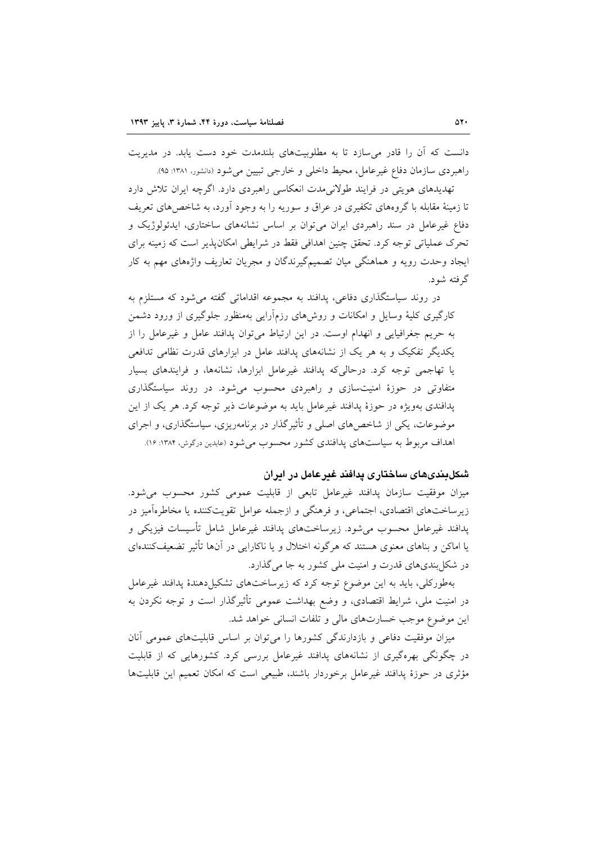دانست که آن را قادر می سازد تا به مطلوبیتهای بلندمدت خود دست پابد. در مدیریت راهبردی سازمان دفاع غیرعامل، محیط داخلی و خارجی تبیین می شود (دانشور، ۱۳۸۱: ۹۵).

تهدیدهای هویتی در فرایند طولانی مدت انعکاسی راهبردی دارد. اگرچه ایران تلاش دارد تا زمینهٔ مقابله با گروههای تکفیری در عراق و سوریه را به وجود آورد، به شاخص های تعریف دفاع غیرعامل در سند راهبردی ایران میتوان بر اساس نشانههای ساختاری، ایدئولوژیک و تحرک عملیاتی توجه کرد. تحقق چنین اهدافی فقط در شرایطی امکانپذیر است که زمینه برای ایجاد وحدت رویه و هماهنگی میان تصمیمگیرندگان و مجریان تعاریف واژههای مهم به کار گ فته شود.

در روند سیاستگذاری دفاعی، پدافند به مجموعه اقداماتی گفته می شود که مستلزم به کارگیری کلیهٔ وسایل و امکانات و روشهای رزمآرایی بهمنظور جلوگیری از ورود دشمن به حريم جغرافيايي و انهدام اوست. در اين ارتباط مي توان يدافند عامل و غيرعامل را از یکدیگر تفکیک و به هر یک از نشانههای پدافند عامل در ابزارهای قدرت نظامی تدافعی یا تهاجمی توجه کرد. درحالی که پدافند غیرعامل ابزارها، نشانهها، و فرایندهای بسیار متفاوتی در حوزهٔ امنیتسازی و راهبردی محسوب میشود. در روند سیاستگذاری پدافندی بهویژه در حوزهٔ پدافند غیرعامل باید به موضوعات ذیر توجه کرد. هر یک از این موضوعات، یکی از شاخصهای اصلی و تأثیرگذار در برنامهریزی، سیاستگذاری، و اجرای اهداف مربوط به سیاستهای پدافندی کشور محسوب می شود (عابدین درگوش، ۱۳۸۴: ۱۶).

#### شکلبندیهای ساختاری پدافند غیرعامل در ایران

میزان موفقیت سازمان پدافند غیرعامل تابعی از قابلیت عمومی کشور محسوب می شود. زیرساختهای اقتصادی، اجتماعی، و فرهنگی و ازجمله عوامل تقویتکننده یا مخاطرهآمیز در پدافند غیرعامل محسوب میشود. زیرساختهای پدافند غیرعامل شامل تأسیسات فیزیکی و یا اماکن و بناهای معنوی هستند که هرگونه اختلال و یا ناکارایی در آنها تأثیر تضعیفکنندهای در شکا بندیهای قدرت و امنیت ملی کشور به جا می گذارد.

بهطورکلی، باید به این موضوع توجه کرد که زیرساختهای تشکیل دهندهٔ پدافند غیرعامل در امنیت ملی، شرایط اقتصادی، و وضع بهداشت عمومی تأثیرگذار است و توجه نکردن به این موضوع موجب خسارتهای مالی و تلفات انسانی خواهد شد.

میزان موفقیت دفاعی و بازدارندگی کشورها را می توان بر اساس قابلیتهای عمومی آنان در چگونگی بهرهگیری از نشانههای پدافند غیرعامل بررسی کرد. کشورهایی که از قابلیت مؤثری در حوزهٔ پدافند غیرعامل برخوردار باشند، طبیعی است که امکان تعمیم این قابلیتها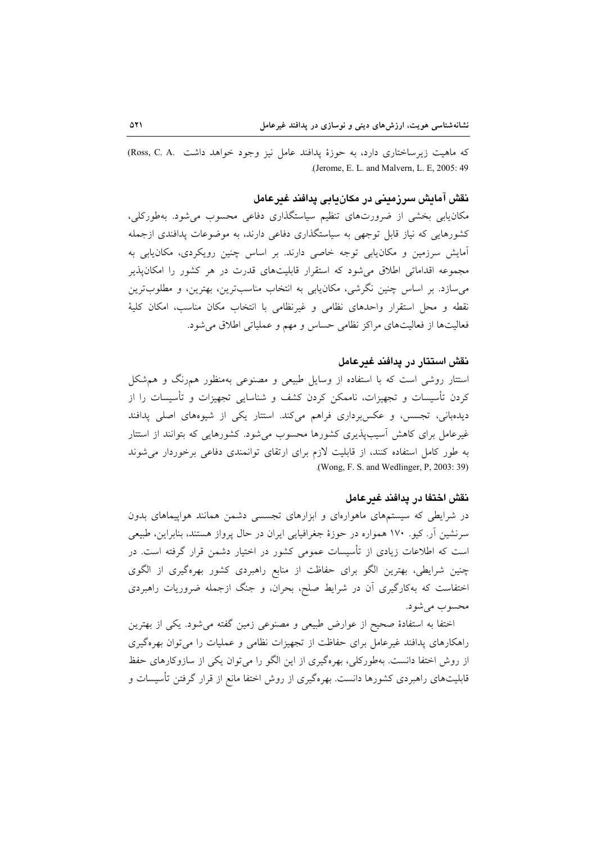که ماهیت زیرساختاری دارد، به حوزهٔ پدافند عامل نیز وجود خواهد داشت .Ross, C. A (Jerome, E. L. and Malvern, L. E, 2005: 49).

## نقش آمایش سرزمینی در مکانیایی پدافند غیرعامل

مکان یابی بخشی از ضرورتهای تنظیم سیاستگذاری دفاعی محسوب می شود. بهطورکلی، کشورهایی که نیاز قابل توجهی به سیاستگذاری دفاعی دارند، به موضوعات پدافندی ازجمله آمایش سرزمین و مکان یابی توجه خاصی دارند. بر اساس چنین رویکردی، مکان یابی به مجموعه اقداماتی اطلاق میشود که استقرار قابلیتهای قدرت در هر کشور را امکانپذیر می سازد. بر اساس چنین نگرشی، مکان یابی به انتخاب مناسبترین، بهترین، و مطلوبترین نقطه و محل استقرار واحدهاى نظامى و غيرنظامى با انتخاب مكان مناسب، امكان كلية فعالیتها از فعالیتهای مراکز نظامی حساس و مهم و عملیاتی اطلاق می شود.

#### نقش استتار در يدافند غدرعامل

استتار روشی است که با استفاده از وسایل طبیعی و مصنوعی بهمنظور همرنگ و همشکل کردن تأسیسات و تجهیزات، ناممکن کردن کشف و شناسایی تجهیزات و تأسیسات را از دیدهبانی، تجسس، و عکس برداری فراهم میکند. استتار یکی از شیوههای اصلی پدافند غیرعامل برای کاهش اسیب،پذیری کشورها محسوب می شود. کشورهایی که بتوانند از استتار به طور کامل استفاده کنند، از قابلیت لازم برای ارتقای توانمندی دفاعی برخوردار می شوند (Wong, F. S. and Wedlinger, P, 2003: 39)

# نقش اختفا در يدافند غيرعامل

در شرایطی که سیستمهای ماهوارهای و ابزارهای تجسسی دشمن همانند هواپیماهای بدون سرنشین آر. کیو. ۱۷۰ همواره در حوزهٔ جغرافیایی ایران در حال پرواز هستند، بنابراین، طبیعی است که اطلاعات زیادی از تأسیسات عمومی کشور در اختیار دشمن قرار گرفته است. در چنین شرایطی، بهترین الگو برای حفاظت از منابع راهبردی کشور بهرهگیری از الگوی اختفاست که بهکارگیری آن در شرایط صلح، بحران، و جنگ ازجمله ضروریات راهبردی محسوب مي شود.

اختفا به استفادهٔ صحیح از عوارض طبیعی و مصنوعی زمین گفته می شود. یکی از بهترین راهکارهای پدافند غیرعامل برای حفاظت از تجهیزات نظامی و عملیات را می توان بهرهگیری از روش اختفا دانست. بهطورکلی، بهرهگیری از این الگو را میٍتوان یکی از سازوکارهای حفظ قابلیتهای راهبردی کشورها دانست. بهرهگیری از روش اختفا مانع از قرار گرفتن تأسیسات و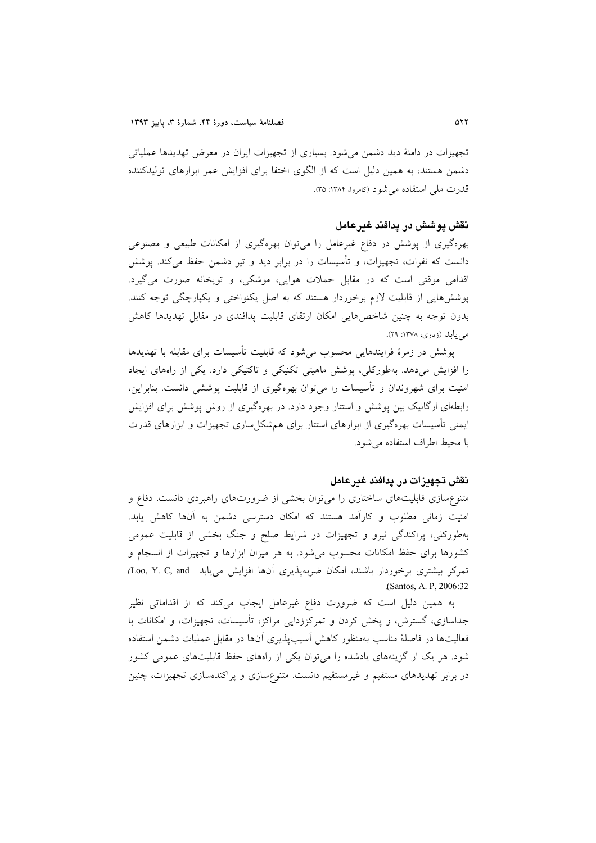تجهیزات در دامنهٔ دید دشمن میشود. بسیاری از تجهیزات ایران در معرض تهدیدها عملیاتی دشمن هستند، به همین دلیل است که از الگوی اختفا برای افزایش عمر ابزارهای تولیدکننده قدرت ملي استفاده مي شود (كامروا، ١٣٨۴: ٣٥).

## نقش يوشش در يدافند غبرعامل

بهرهگیری از پوشش در دفاع غیرعامل را می توان بهرهگیری از امکانات طبیعی و مصنوعی دانست که نفرات، تجهیزات، و تأسیسات را در برابر دید و تیر دشمن حفظ میکند. پوشش اقدامی موقتی است که در مقابل حملات هوایی، موشکی، و تویخانه صورت می گیرد. پوششهایی از قابلیت لازم برخوردار هستند که به اصل یکنواختی و یکپارچگی توجه کنند. بدون توجه به چنین شاخصهایی امکان ارتقای قابلیت پدافندی در مقابل تهدیدها کاهش می یابد (زیاری، ۱۳۷۸: ۲۹).

پوشش در زمرهٔ فرایندهایی محسوب میشود که قابلیت تأسیسات برای مقابله با تهدیدها را افزایش میدهد. بهطورکلی، پوشش ماهیتی تکنیکی و تاکتیکی دارد. یکی از راههای ایجاد امنیت برای شهروندان و تأسیسات را میٍتوان بهرهگیری از قابلیت پوششی دانست. بنابراین، رابطهای ارگانیک بین پوشش و استتار وجود دارد. در بهرهگیری از روش پوشش برای افزایش ایمنی تأسیسات بهرهگیری از ابزارهای استتار برای هم شکل سازی تجهیزات و ابزارهای قدرت با محيط اطراف استفاده مي شود.

#### نقش تجهیزات در یدافند غیرعامل

متنوع سازی قابلیتهای ساختاری را می توان بخشی از ضرورتهای راهبردی دانست. دفاع و امنیت زمانی مطلوب و کارآمد هستند که امکان دسترسی دشمن به آنها کاهش یابد. بهطورکلی، پراکندگی نیرو و تجهیزات در شرایط صلح و جنگ بخشی از قابلیت عمومی کشورها برای حفظ امکانات محسوب می شود. به هر میزان ابزارها و تجهیزات از انسجام و تمرکز بیشتری برخوردار باشند، امکان ضربهپذیری آنها افزایش مییابد Loo, Y. C, and (Santos, A. P, 2006:32)

به همین دلیل است که ضرورت دفاع غیرعامل ایجاب میکند که از اقداماتی نظیر جداسازی، گسترش، و پخش کردن و تمرکززدایی مراکز، تأسیسات، تجهیزات، و امکانات با فعالیتها در فاصلهٔ مناسب بهمنظور کاهش آسیبپذیری آنها در مقابل عملیات دشمن استفاده شود. هر یک از گزینههای یادشده را میتوان یکی از راههای حفظ قابلیتهای عمومی کشور در برابر تهدیدهای مستقیم و غیرمستقیم دانست. متنوعسازی و پراکندهسازی تجهیزات، چنین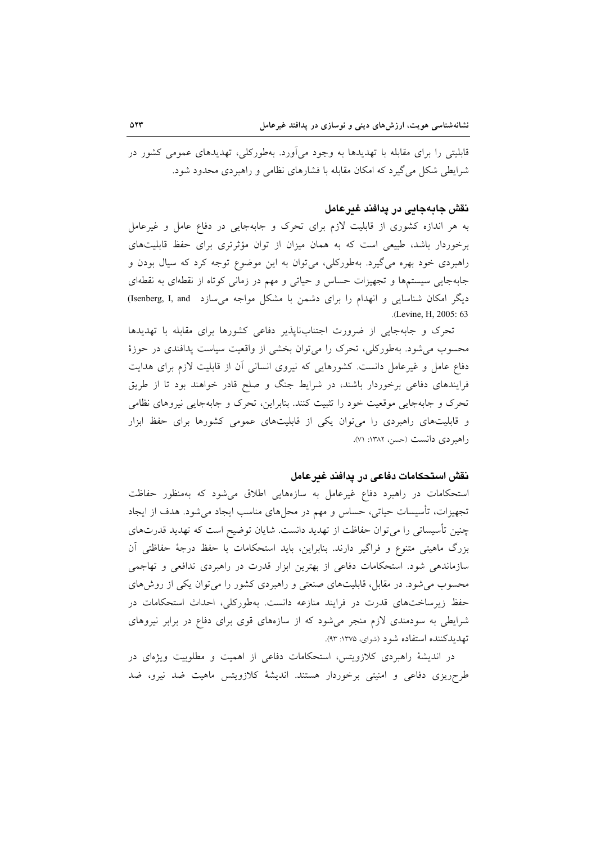قابلیتی را برای مقابله با تهدیدها به وجود می[ورد. بهطورکلی، تهدیدهای عمومی کشور در شرایطی شکل می گیرد که امکان مقابله با فشارهای نظامی و راهبردی محدود شود.

# نقش جابەجايى در پدافند غيرعامل

به هر اندازه کشوری از قابلیت لازم برای تحرک و جابهجایی در دفاع عامل و غیرعامل برخوردار باشد، طبیعی است که به همان میزان از توان مؤثرتری برای حفظ قابلیتهای راهبردی خود بهره میگیرد. بهطورکلی، میتوان به این موضوع توجه کرد که سیال بودن و جابهجایی سیستمها و تجهیزات حساس و حیاتی و مهم در زمانی کوتاه از نقطهای به نقطهای دیگر امکان شناسایی و انهدام را برای دشمن با مشکل مواجه می سازد (Isenberg, I, and (Levine, H. 2005: 63).

تحرک و جابهجایی از ضرورت اجتنابناپذیر دفاعی کشورها برای مقابله با تهدیدها محسوب می شود. بهطورکلی، تحرک را می توان بخشی از واقعیت سیاست پدافندی در حوزهٔ دفاع عامل و غیرعامل دانست. کشورهایی که نیروی انسانی آن از قابلیت لازم برای هدایت فرایندهای دفاعی برخوردار باشند، در شرایط جنگ و صلح قادر خواهند بود تا از طریق تحرک و جابهجایی موقعیت خود را تثبیت کنند. بنابراین، تحرک و جابهجایی نیروهای نظامی و قابلیتهای راهبردی را می توان یکی از قابلیتهای عمومی کشورها برای حفظ ابزار راهبر دی دانست (حسن، ۱۳۸۲: ۷۱).

#### نقش استحكامات دفاعي در يدافند غدرعامل

استحکامات در راهبرد دفاع غیرعامل به سازههایی اطلاق میشود که بهمنظور حفاظت تجهیزات، تأسیسات حیاتی، حساس و مهم در محلهای مناسب ایجاد می شود. هدف از ایجاد چنین تأسیساتی را می توان حفاظت از تهدید دانست. شایان توضیح است که تهدید قدرتهای بزرگ ماهیتی متنوع و فراگیر دارند. بنابراین، باید استحکامات با حفظ درجهٔ حفاظتی أن سازماندهی شود. استحکامات دفاعی از بهترین ابزار قدرت در راهبردی تدافعی و تهاجمی محسوب می شود. در مقابل، قابلیتهای صنعتی و راهبردی کشور را می توان یکی از روشهای حفظ زیرساختهای قدرت در فرایند منازعه دانست. بهطورکلی، احداث استحکامات در شرایطی به سودمندی لازم منجر میشود که از سازههای قوی برای دفاع در برابر نیروهای تهديدكننده استفاده شود (شواي، ١٣٧۵: ٩٣).

در اندیشهٔ راهبردی کلازویتس، استحکامات دفاعی از اهمیت و مطلوبیت ویژهای در طرحریزی دفاعی و امنیتی برخوردار هستند. اندیشهٔ کلازویتس ماهیت ضد نیرو، ضد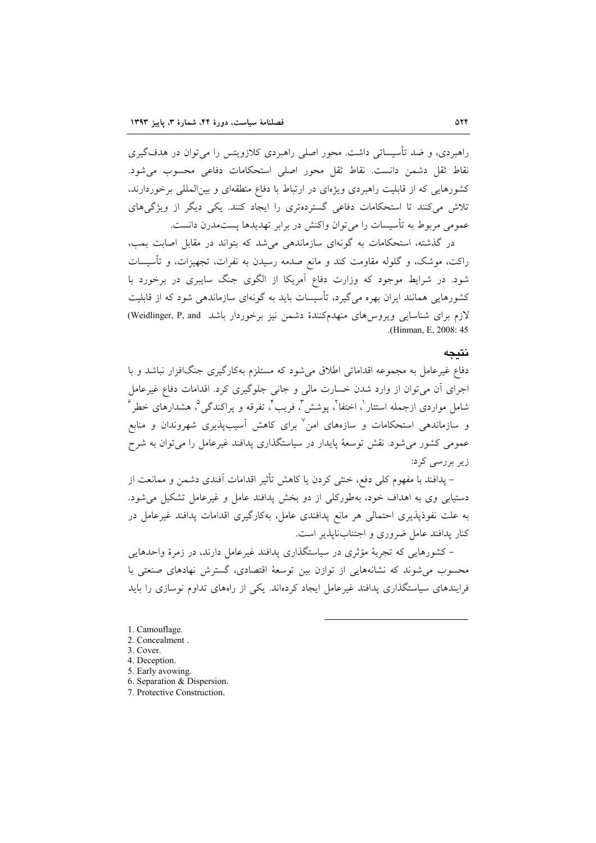راهبردی، و ضد تأسیساتی داشت. محور اصلی راهبردی کلازویتس را می توان در هدفگیری نقاط ثقل دشمن دانست. نقاط ثقل محور اصلی استحکامات دفاعی محسوب می شود. کشورهایی که از قابلیت راهبردی ویژمای در ارتباط با دفاع منطقهای و بینالمللی برخوردارند، تلاش میکنند تا استحکامات دفاعی گستردهتری را ایجاد کنند. یکی دیگر از ویژگی های عمومی مربوط به تأسیسات را می توان واکنش در برابر تهدیدها پستمدرن دانست.

در گذشته، استحکامات به گونهای سازماندهی می شد که بتواند در مقابل اصابت بمب، راکت، موشک، و گلوله مقاومت کند و مانع صدمه رسیدن به نفرات، تجهیزات، و تأسیسات شود. در شرایط موجود که وزارت دفاع آمریکا از الگوی جنگ سایبری در برخورد با کشورهایی همانند ایران بهره می گیرد، تأسیسات باید به گونهای سازماندهی شود که از قابلیت لازم برای شناسایی ویروس های منهدمکنندهٔ دشمن نیز برخوردار باشد Weidlinger, P, and .(Hinman, E, 2008: 45

#### نتىجە

دفاع غیر عامل به مجموعه اقداماتی اطلاق می شود که مستلزم بهکارگیری جنگافزار نباشد و با اجرای آن می توان از وارد شدن خسارت مالی و جانبی جلوگیری کرد. اقدامات دفاع غیرعامل شامل مواردي ازجمله استتار ٰ، اختفا ٰ، پوشش ؒ، فريب ؒ، تفرقه و پراکندگي ؒ، هشدارهاي خطر ؒ و سازمانده<sub>ی</sub> استحکامات و سازههای امن<sup>۷</sup> برای کاهش آسیبپذیری شهروندان و منابع عمومی کشور می شود. نقش توسعهٔ پایدار در سیاستگذاری پدافند غیرعامل را می توان به شرح زیر بررسی کرد:

– يدافند با مفهوم كلي دفع، خنثي كردن يا كاهش تأثير اقدامات آفندي دشمن و ممانعت از دستیابی وی به اهداف خود، بهطورکلی از دو بخش پدافند عامل و غیرعامل تشکیل می شود. به علت نفوذپذیری احتمالی هر مانع پدافندی عامل، بهکارگیری اقدامات پدافند غیرعامل در کنار یدافند عامل ضروری و اجتنابناپذیر است.

– کشورهایی که تجربهٔ مؤثری در سیاستگذاری پدافند غیرعامل دارند، در زمرهٔ واحدهایی محسوب می شوند که نشانههایی از توازن بین توسعهٔ اقتصادی، گسترش نهادهای صنعتی با فرایندهای سیاستگذاری پدافند غیرعامل ایجاد کردهاند. یکی از راههای تداوم نوسازی را باید

- 1. Camouflage.
- 2. Concealment.

<sup>3</sup> Cover

<sup>4.</sup> Deception.

<sup>5.</sup> Early avowing.

<sup>6.</sup> Separation  $&$  Dispersion.

<sup>7.</sup> Protective Construction.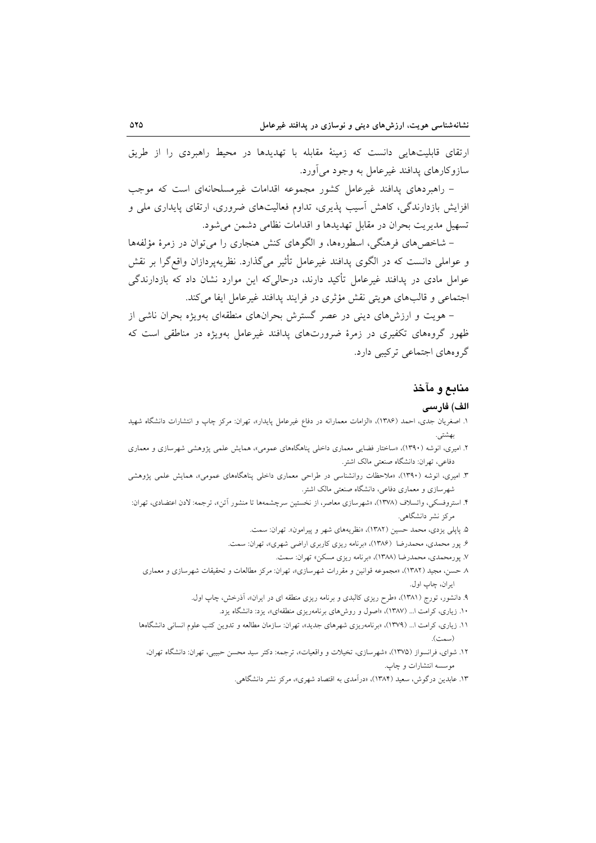ارتقای قابلیتهایی دانست که زمینهٔ مقابله با تهدیدها در محیط راهبردی را از طریق سازوکارهای پدافند غیرعامل به وجود می آورد.

– راهبردهای پدافند غیرعامل کشور مجموعه اقدامات غیرمسلحانهای است که موجب افزایش بازدارندگی، کاهش آسیب پذیری، تداوم فعالیتهای ضروری، ارتقای پایداری ملی و تسهيل مديريت بحران در مقابل تهديدها و اقدامات نظامي دشمن مي شود.

– شاخصهای فرهنگی، اسطورهها، و الگوهای کنش هنجاری را می توان در زمرهٔ مؤلفهها و عواملی دانست که در الگوی پدافند غیرعامل تأثیر میگذارد. نظریهپردازان واقعگرا بر نقش عوامل مادی در پدافند غیرعامل تأکید دارند، درحالی که این موارد نشان داد که بازدارندگی اجتماعی و قالبهای هویتی نقش مؤثری در فرایند پدافند غیرعامل ایفا می کند.

– هویت و ارزشهای دینی در عصر گسترش بحرانهای منطقهای بهویژه بحران ناشی از ظهور گروههای تکفیری در زمرهٔ ضرورتهای پدافند غیرعامل بهویژه در مناطقی است که گروههای اجتماعی ترکیبی دارد.

#### منابع و مآخذ

#### الف) فارسى

- ۱. اصغریان جدی، احمد (۱۳۸۶)، «الزامات معمارانه در دفاع غیرعامل پایدار»، تهران: مرکز چاپ و انتشارات دانشگاه شهید بهشتى.
- ۲. امیری، انوشه (۱۳۹۰)، «ساختار فضایبی معماری داخلی پناهگاههای عمومی»، همایش علمی پژوهشی شهرسازی و معماری دفاعی، تهران: دانشگاه صنعتی مالک اشتر.
- ۳. امیری، انوشه (۱۳۹۰)، «ملاحظات روانشناسی در طراحی معماری داخلی پناهگاههای عمومی»، همایش علمی پژوهشی شهرسازی و معماری دفاعی، دانشگاه صنعتی مالک اشتر.
- ۴. استروفسکی، واتسلاف (۱۳۷۸)، «شهرسازی معاصر، از نخستین سرچشمهها تا منشور آتن»، ترجمه: لادن اعتضادی، تهران: مرکز نشر دانشگاهی.
	- ۵. پاپلی یزدی، محمد حسین (۱۳۸۲)، «نظریههای شهر و پیرامون». تهران: سمت.
	- ۶. پور محمدي، محمدرضا (۱۳۸۶)، «برنامه ريزي كاربري اراضي شهري»، تهران: سمت.
		- ٧. يورمحمدي، محمدرضا (١٣٨٨)، «برنامه ريزي مسكن» تهران: سمت.
	- ۸ حسن، مجید (۱۳۸۲)، «مجموعه قوانین و مقررات شهرسازی»، تهران: مرکز مطالعات و تحقیقات شهرسازی و معماری ايران، چاپ اول.
		- ۹. دانشور، تورج (۱۳۸۱)، «طرح ریزی کالبدی و برنامه ریزی منطقه ای در ایران»، آذرخش، چاپ اول.
			- ۱۰. زیاری، کرامت ا... (۱۳۸۷)، «اصول و روشهای برنامهریزی منطقهای»، یزد: دانشگاه یزد.
	- ۱۱. زیاری، کرامت ا… (۱۳۷۹)، «برنامهریزی شهرهای جدید»، تهران: سازمان مطالعه و تدوین کتب علوم انسانی دانشگاهها (سمت).
		- ۱۲. شوای، فرانسواز (۱۳۷۵)، «شهرسازی، تخیلات و واقعیات»، ترجمه: دکتر سید محسن حبیبی، تهران: دانشگاه تهران، موسسه انتشارات و چاپ.
			- ۱۳. عابدین درگوش، سعید (۱۳۸۴)، «درآمدی به اقتصاد شهری»، مرکز نشر دانشگاهی.